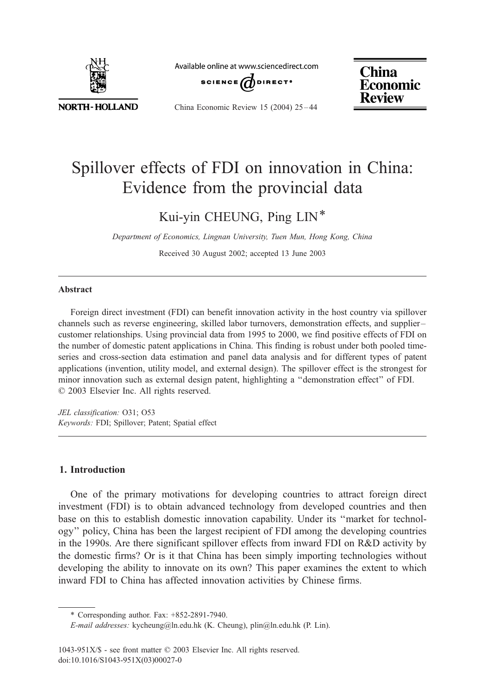

Available online at www.sciencedirect.com



**China** Economic **Review** 

**NORTH-HOLLAND** 

China Economic Review 15 (2004) 25 – 44

# Spillover effects of FDI on innovation in China: Evidence from the provincial data

# Kui-yin CHEUNG, Ping LIN\*

Department of Economics, Lingnan University, Tuen Mun, Hong Kong, China

Received 30 August 2002; accepted 13 June 2003

#### Abstract

Foreign direct investment (FDI) can benefit innovation activity in the host country via spillover channels such as reverse engineering, skilled labor turnovers, demonstration effects, and supplier – customer relationships. Using provincial data from 1995 to 2000, we find positive effects of FDI on the number of domestic patent applications in China. This finding is robust under both pooled timeseries and cross-section data estimation and panel data analysis and for different types of patent applications (invention, utility model, and external design). The spillover effect is the strongest for minor innovation such as external design patent, highlighting a ''demonstration effect'' of FDI.  $\odot$  2003 Elsevier Inc. All rights reserved.

JEL classification: O31; O53 Keywords: FDI; Spillover; Patent; Spatial effect

# 1. Introduction

One of the primary motivations for developing countries to attract foreign direct investment (FDI) is to obtain advanced technology from developed countries and then base on this to establish domestic innovation capability. Under its ''market for technology'' policy, China has been the largest recipient of FDI among the developing countries in the 1990s. Are there significant spillover effects from inward FDI on R&D activity by the domestic firms? Or is it that China has been simply importing technologies without developing the ability to innovate on its own? This paper examines the extent to which inward FDI to China has affected innovation activities by Chinese firms.

<sup>\*</sup> Corresponding author. Fax: +852-2891-7940.

E-mail addresses: kycheung@ln.edu.hk (K. Cheung), plin@ln.edu.hk (P. Lin).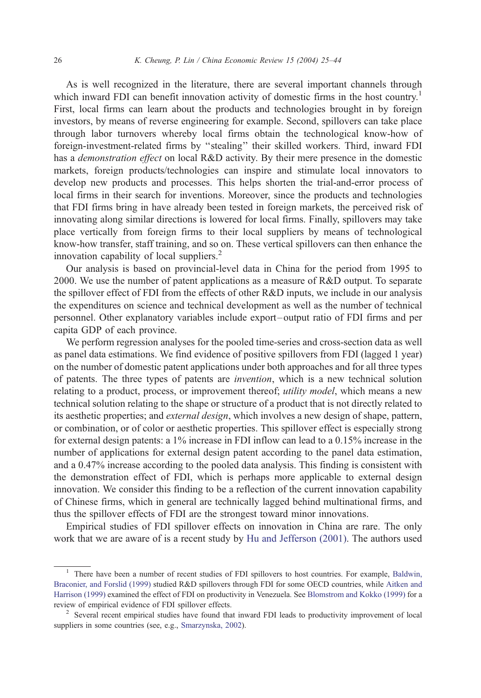As is well recognized in the literature, there are several important channels through which inward FDI can benefit innovation activity of domestic firms in the host country.<sup>1</sup> First, local firms can learn about the products and technologies brought in by foreign investors, by means of reverse engineering for example. Second, spillovers can take place through labor turnovers whereby local firms obtain the technological know-how of foreign-investment-related firms by ''stealing'' their skilled workers. Third, inward FDI has a *demonstration effect* on local R&D activity. By their mere presence in the domestic markets, foreign products/technologies can inspire and stimulate local innovators to develop new products and processes. This helps shorten the trial-and-error process of local firms in their search for inventions. Moreover, since the products and technologies that FDI firms bring in have already been tested in foreign markets, the perceived risk of innovating along similar directions is lowered for local firms. Finally, spillovers may take place vertically from foreign firms to their local suppliers by means of technological know-how transfer, staff training, and so on. These vertical spillovers can then enhance the innovation capability of local suppliers.<sup>2</sup>

Our analysis is based on provincial-level data in China for the period from 1995 to 2000. We use the number of patent applications as a measure of R&D output. To separate the spillover effect of FDI from the effects of other R&D inputs, we include in our analysis the expenditures on science and technical development as well as the number of technical personnel. Other explanatory variables include export –output ratio of FDI firms and per capita GDP of each province.

We perform regression analyses for the pooled time-series and cross-section data as well as panel data estimations. We find evidence of positive spillovers from FDI (lagged 1 year) on the number of domestic patent applications under both approaches and for all three types of patents. The three types of patents are invention, which is a new technical solution relating to a product, process, or improvement thereof; *utility model*, which means a new technical solution relating to the shape or structure of a product that is not directly related to its aesthetic properties; and *external design*, which involves a new design of shape, pattern, or combination, or of color or aesthetic properties. This spillover effect is especially strong for external design patents: a 1% increase in FDI inflow can lead to a 0.15% increase in the number of applications for external design patent according to the panel data estimation, and a 0.47% increase according to the pooled data analysis. This finding is consistent with the demonstration effect of FDI, which is perhaps more applicable to external design innovation. We consider this finding to be a reflection of the current innovation capability of Chinese firms, which in general are technically lagged behind multinational firms, and thus the spillover effects of FDI are the strongest toward minor innovations.

Empirical studies of FDI spillover effects on innovation in China are rare. The only work that we are aware of is a recent study by [Hu and Jefferson \(2001\).](#page-19-0) The authors used

<sup>&</sup>lt;sup>1</sup> There have been a number of recent studies of FDI spillovers to host countries. For example, [Baldwin,](#page-19-0) Braconier, and Forslid (1999) studied R&D spillovers through FDI for some OECD countries, while [Aitken and](#page-19-0) Harrison (1999) examined the effect of FDI on productivity in Venezuela. See [Blomstrom and Kokko \(1999\)](#page-19-0) for a review of empirical evidence of FDI spillover effects.

<sup>&</sup>lt;sup>2</sup> Several recent empirical studies have found that inward FDI leads to productivity improvement of local suppliers in some countries (see, e.g., [Smarzynska, 2002\)](#page-19-0).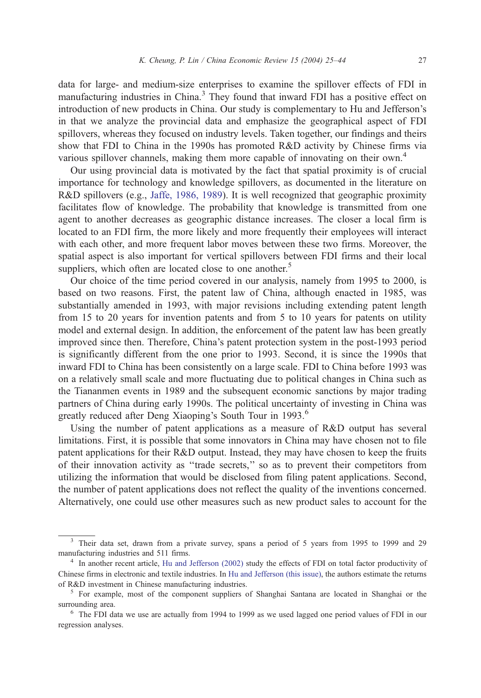data for large- and medium-size enterprises to examine the spillover effects of FDI in manufacturing industries in China.<sup>3</sup> They found that inward FDI has a positive effect on introduction of new products in China. Our study is complementary to Hu and Jefferson's in that we analyze the provincial data and emphasize the geographical aspect of FDI spillovers, whereas they focused on industry levels. Taken together, our findings and theirs show that FDI to China in the 1990s has promoted R&D activity by Chinese firms via various spillover channels, making them more capable of innovating on their own.<sup>4</sup>

Our using provincial data is motivated by the fact that spatial proximity is of crucial importance for technology and knowledge spillovers, as documented in the literature on R&D spillovers (e.g., [Jaffe, 1986, 1989\)](#page-19-0). It is well recognized that geographic proximity facilitates flow of knowledge. The probability that knowledge is transmitted from one agent to another decreases as geographic distance increases. The closer a local firm is located to an FDI firm, the more likely and more frequently their employees will interact with each other, and more frequent labor moves between these two firms. Moreover, the spatial aspect is also important for vertical spillovers between FDI firms and their local suppliers, which often are located close to one another.<sup>5</sup>

Our choice of the time period covered in our analysis, namely from 1995 to 2000, is based on two reasons. First, the patent law of China, although enacted in 1985, was substantially amended in 1993, with major revisions including extending patent length from 15 to 20 years for invention patents and from 5 to 10 years for patents on utility model and external design. In addition, the enforcement of the patent law has been greatly improved since then. Therefore, China's patent protection system in the post-1993 period is significantly different from the one prior to 1993. Second, it is since the 1990s that inward FDI to China has been consistently on a large scale. FDI to China before 1993 was on a relatively small scale and more fluctuating due to political changes in China such as the Tiananmen events in 1989 and the subsequent economic sanctions by major trading partners of China during early 1990s. The political uncertainty of investing in China was greatly reduced after Deng Xiaoping's South Tour in 1993.<sup>6</sup>

Using the number of patent applications as a measure of R&D output has several limitations. First, it is possible that some innovators in China may have chosen not to file patent applications for their R&D output. Instead, they may have chosen to keep the fruits of their innovation activity as ''trade secrets,'' so as to prevent their competitors from utilizing the information that would be disclosed from filing patent applications. Second, the number of patent applications does not reflect the quality of the inventions concerned. Alternatively, one could use other measures such as new product sales to account for the

<sup>&</sup>lt;sup>3</sup> Their data set, drawn from a private survey, spans a period of 5 years from 1995 to 1999 and 29 manufacturing industries and 511 firms.

<sup>4</sup> In another recent article, [Hu and Jefferson \(2002\)](#page-19-0) study the effects of FDI on total factor productivity of Chinese firms in electronic and textile industries. In [Hu and Jefferson \(this issue\),](#page-19-0) the authors estimate the returns of R&D investment in Chinese manufacturing industries. <sup>5</sup> For example, most of the component suppliers of Shanghai Santana are located in Shanghai or the

surrounding area.<br><sup>6</sup> The FDI data we use are actually from 1994 to 1999 as we used lagged one period values of FDI in our

regression analyses.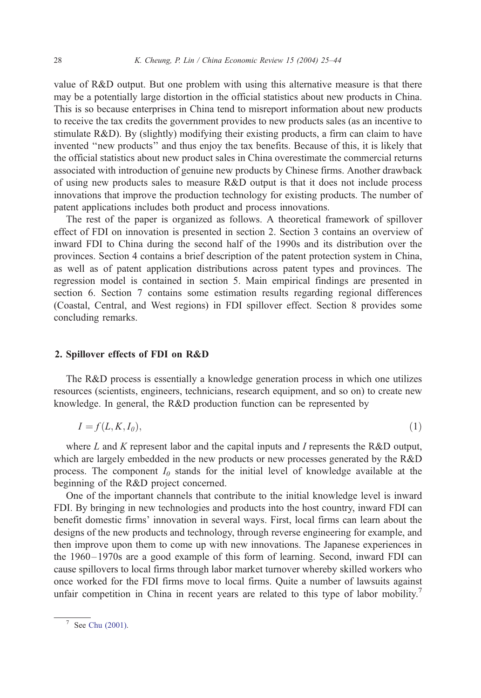value of R&D output. But one problem with using this alternative measure is that there may be a potentially large distortion in the official statistics about new products in China. This is so because enterprises in China tend to misreport information about new products to receive the tax credits the government provides to new products sales (as an incentive to stimulate R&D). By (slightly) modifying their existing products, a firm can claim to have invented ''new products'' and thus enjoy the tax benefits. Because of this, it is likely that the official statistics about new product sales in China overestimate the commercial returns associated with introduction of genuine new products by Chinese firms. Another drawback of using new products sales to measure R&D output is that it does not include process innovations that improve the production technology for existing products. The number of patent applications includes both product and process innovations.

The rest of the paper is organized as follows. A theoretical framework of spillover effect of FDI on innovation is presented in section 2. Section 3 contains an overview of inward FDI to China during the second half of the 1990s and its distribution over the provinces. Section 4 contains a brief description of the patent protection system in China, as well as of patent application distributions across patent types and provinces. The regression model is contained in section 5. Main empirical findings are presented in section 6. Section 7 contains some estimation results regarding regional differences (Coastal, Central, and West regions) in FDI spillover effect. Section 8 provides some concluding remarks.

#### 2. Spillover effects of FDI on R&D

The R&D process is essentially a knowledge generation process in which one utilizes resources (scientists, engineers, technicians, research equipment, and so on) to create new knowledge. In general, the R&D production function can be represented by

$$
I = f(L, K, I_0),\tag{1}
$$

where L and K represent labor and the capital inputs and I represents the R&D output, which are largely embedded in the new products or new processes generated by the R&D process. The component  $I_0$  stands for the initial level of knowledge available at the beginning of the R&D project concerned.

One of the important channels that contribute to the initial knowledge level is inward FDI. By bringing in new technologies and products into the host country, inward FDI can benefit domestic firms' innovation in several ways. First, local firms can learn about the designs of the new products and technology, through reverse engineering for example, and then improve upon them to come up with new innovations. The Japanese experiences in the 1960– 1970s are a good example of this form of learning. Second, inward FDI can cause spillovers to local firms through labor market turnover whereby skilled workers who once worked for the FDI firms move to local firms. Quite a number of lawsuits against unfair competition in China in recent years are related to this type of labor mobility.<sup>7</sup>

<sup>7</sup> See [Chu \(2001\).](#page-19-0)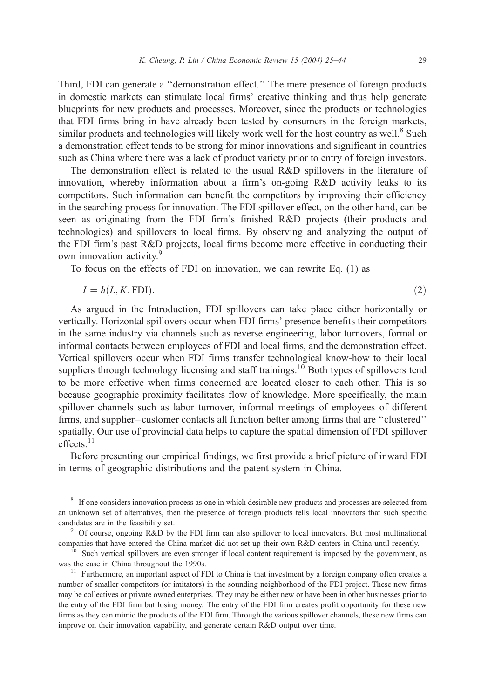Third, FDI can generate a ''demonstration effect.'' The mere presence of foreign products in domestic markets can stimulate local firms' creative thinking and thus help generate blueprints for new products and processes. Moreover, since the products or technologies that FDI firms bring in have already been tested by consumers in the foreign markets, similar products and technologies will likely work well for the host country as well.<sup>8</sup> Such a demonstration effect tends to be strong for minor innovations and significant in countries such as China where there was a lack of product variety prior to entry of foreign investors.

The demonstration effect is related to the usual R&D spillovers in the literature of innovation, whereby information about a firm's on-going R&D activity leaks to its competitors. Such information can benefit the competitors by improving their efficiency in the searching process for innovation. The FDI spillover effect, on the other hand, can be seen as originating from the FDI firm's finished R&D projects (their products and technologies) and spillovers to local firms. By observing and analyzing the output of the FDI firm's past R&D projects, local firms become more effective in conducting their own innovation activity.<sup>9</sup>

To focus on the effects of FDI on innovation, we can rewrite Eq. (1) as

$$
I = h(L, K, \text{FDI}).\tag{2}
$$

As argued in the Introduction, FDI spillovers can take place either horizontally or vertically. Horizontal spillovers occur when FDI firms' presence benefits their competitors in the same industry via channels such as reverse engineering, labor turnovers, formal or informal contacts between employees of FDI and local firms, and the demonstration effect. Vertical spillovers occur when FDI firms transfer technological know-how to their local suppliers through technology licensing and staff trainings.<sup>10</sup> Both types of spillovers tend to be more effective when firms concerned are located closer to each other. This is so because geographic proximity facilitates flow of knowledge. More specifically, the main spillover channels such as labor turnover, informal meetings of employees of different firms, and supplier –customer contacts all function better among firms that are ''clustered'' spatially. Our use of provincial data helps to capture the spatial dimension of FDI spillover effects.<sup>11</sup>

Before presenting our empirical findings, we first provide a brief picture of inward FDI in terms of geographic distributions and the patent system in China.

<sup>8</sup> If one considers innovation process as one in which desirable new products and processes are selected from an unknown set of alternatives, then the presence of foreign products tells local innovators that such specific candidates are in the feasibility set.<br><sup>9</sup> Of course, ongoing R&D by the FDI firm can also spillover to local innovators. But most multinational

companies that have entered the China market did not set up their own R&D centers in China until recently. <sup>10</sup> Such vertical spillovers are even stronger if local content requirement is imposed by the government, as

was the case in China throughout the 1990s.<br><sup>11</sup> Furthermore, an important aspect of FDI to China is that investment by a foreign company often creates a

number of smaller competitors (or imitators) in the sounding neighborhood of the FDI project. These new firms may be collectives or private owned enterprises. They may be either new or have been in other businesses prior to the entry of the FDI firm but losing money. The entry of the FDI firm creates profit opportunity for these new firms as they can mimic the products of the FDI firm. Through the various spillover channels, these new firms can improve on their innovation capability, and generate certain R&D output over time.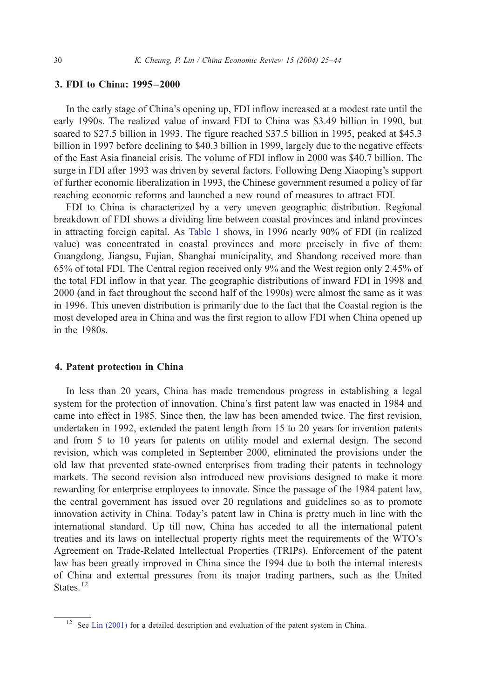# 3. FDI to China: 1995 –2000

In the early stage of China's opening up, FDI inflow increased at a modest rate until the early 1990s. The realized value of inward FDI to China was \$3.49 billion in 1990, but soared to \$27.5 billion in 1993. The figure reached \$37.5 billion in 1995, peaked at \$45.3 billion in 1997 before declining to \$40.3 billion in 1999, largely due to the negative effects of the East Asia financial crisis. The volume of FDI inflow in 2000 was \$40.7 billion. The surge in FDI after 1993 was driven by several factors. Following Deng Xiaoping's support of further economic liberalization in 1993, the Chinese government resumed a policy of far reaching economic reforms and launched a new round of measures to attract FDI.

FDI to China is characterized by a very uneven geographic distribution. Regional breakdown of FDI shows a dividing line between coastal provinces and inland provinces in attracting foreign capital. As [Table 1](#page-6-0) shows, in 1996 nearly 90% of FDI (in realized value) was concentrated in coastal provinces and more precisely in five of them: Guangdong, Jiangsu, Fujian, Shanghai municipality, and Shandong received more than 65% of total FDI. The Central region received only 9% and the West region only 2.45% of the total FDI inflow in that year. The geographic distributions of inward FDI in 1998 and 2000 (and in fact throughout the second half of the 1990s) were almost the same as it was in 1996. This uneven distribution is primarily due to the fact that the Coastal region is the most developed area in China and was the first region to allow FDI when China opened up in the 1980s.

#### 4. Patent protection in China

In less than 20 years, China has made tremendous progress in establishing a legal system for the protection of innovation. China's first patent law was enacted in 1984 and came into effect in 1985. Since then, the law has been amended twice. The first revision, undertaken in 1992, extended the patent length from 15 to 20 years for invention patents and from 5 to 10 years for patents on utility model and external design. The second revision, which was completed in September 2000, eliminated the provisions under the old law that prevented state-owned enterprises from trading their patents in technology markets. The second revision also introduced new provisions designed to make it more rewarding for enterprise employees to innovate. Since the passage of the 1984 patent law, the central government has issued over 20 regulations and guidelines so as to promote innovation activity in China. Today's patent law in China is pretty much in line with the international standard. Up till now, China has acceded to all the international patent treaties and its laws on intellectual property rights meet the requirements of the WTO's Agreement on Trade-Related Intellectual Properties (TRIPs). Enforcement of the patent law has been greatly improved in China since the 1994 due to both the internal interests of China and external pressures from its major trading partners, such as the United States.<sup>12</sup>

<sup>&</sup>lt;sup>12</sup> See [Lin \(2001\)](#page-19-0) for a detailed description and evaluation of the patent system in China.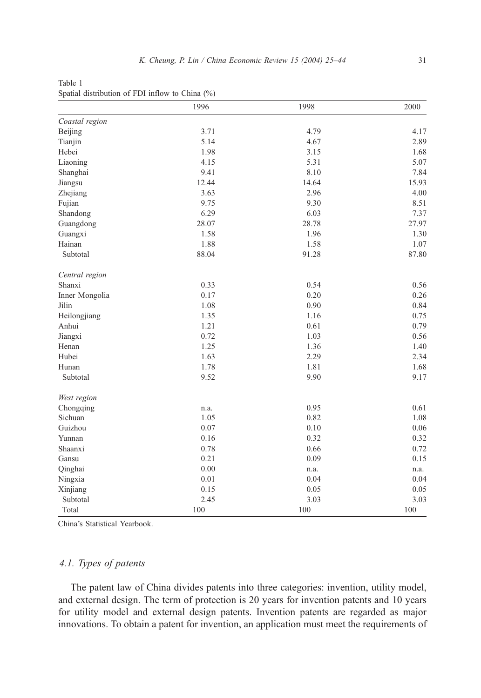|                | 1996  | 1998  | 2000  |
|----------------|-------|-------|-------|
| Coastal region |       |       |       |
| Beijing        | 3.71  | 4.79  | 4.17  |
| Tianjin        | 5.14  | 4.67  | 2.89  |
| Hebei          | 1.98  | 3.15  | 1.68  |
| Liaoning       | 4.15  | 5.31  | 5.07  |
| Shanghai       | 9.41  | 8.10  | 7.84  |
| Jiangsu        | 12.44 | 14.64 | 15.93 |
| Zhejiang       | 3.63  | 2.96  | 4.00  |
| Fujian         | 9.75  | 9.30  | 8.51  |
| Shandong       | 6.29  | 6.03  | 7.37  |
| Guangdong      | 28.07 | 28.78 | 27.97 |
| Guangxi        | 1.58  | 1.96  | 1.30  |
| Hainan         | 1.88  | 1.58  | 1.07  |
| Subtotal       | 88.04 | 91.28 | 87.80 |
| Central region |       |       |       |
| Shanxi         | 0.33  | 0.54  | 0.56  |
| Inner Mongolia | 0.17  | 0.20  | 0.26  |
| Jilin          | 1.08  | 0.90  | 0.84  |
| Heilongjiang   | 1.35  | 1.16  | 0.75  |
| Anhui          | 1.21  | 0.61  | 0.79  |
| Jiangxi        | 0.72  | 1.03  | 0.56  |
| Henan          | 1.25  | 1.36  | 1.40  |
| Hubei          | 1.63  | 2.29  | 2.34  |
| Hunan          | 1.78  | 1.81  | 1.68  |
| Subtotal       | 9.52  | 9.90  | 9.17  |
| West region    |       |       |       |
| Chongqing      | n.a.  | 0.95  | 0.61  |
| Sichuan        | 1.05  | 0.82  | 1.08  |
| Guizhou        | 0.07  | 0.10  | 0.06  |
| Yunnan         | 0.16  | 0.32  | 0.32  |
| Shaanxi        | 0.78  | 0.66  | 0.72  |
| Gansu          | 0.21  | 0.09  | 0.15  |
| Qinghai        | 0.00  | n.a.  | n.a.  |
| Ningxia        | 0.01  | 0.04  | 0.04  |
| Xinjiang       | 0.15  | 0.05  | 0.05  |
| Subtotal       | 2.45  | 3.03  | 3.03  |
| Total          | 100   | 100   | 100   |

<span id="page-6-0"></span>Table 1 Spatial distribution of FDI inflow to China (%)

China's Statistical Yearbook.

# 4.1. Types of patents

The patent law of China divides patents into three categories: invention, utility model, and external design. The term of protection is 20 years for invention patents and 10 years for utility model and external design patents. Invention patents are regarded as major innovations. To obtain a patent for invention, an application must meet the requirements of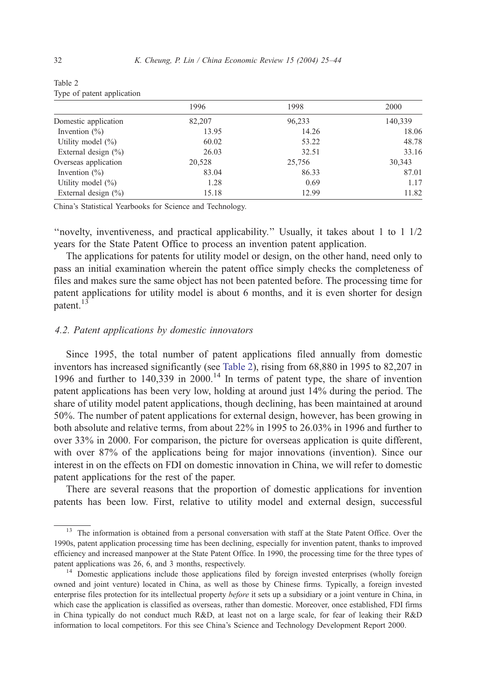| $\sim$ $\sim$<br>. .<br>. . |        |        |         |
|-----------------------------|--------|--------|---------|
|                             | 1996   | 1998   | 2000    |
| Domestic application        | 82,207 | 96,233 | 140,339 |
| Invention $(\%)$            | 13.95  | 14.26  | 18.06   |
| Utility model $(\% )$       | 60.02  | 53.22  | 48.78   |
| External design $(\% )$     | 26.03  | 32.51  | 33.16   |
| Overseas application        | 20,528 | 25,756 | 30,343  |
| Invention $(\%)$            | 83.04  | 86.33  | 87.01   |
| Utility model $(\% )$       | 1.28   | 0.69   | 1.17    |
| External design $(\% )$     | 15.18  | 12.99  | 11.82   |

<span id="page-7-0"></span>

| Table 2 |                            |  |
|---------|----------------------------|--|
|         | Type of patent application |  |

China's Statistical Yearbooks for Science and Technology.

''novelty, inventiveness, and practical applicability.'' Usually, it takes about 1 to 1 1/2 years for the State Patent Office to process an invention patent application.

The applications for patents for utility model or design, on the other hand, need only to pass an initial examination wherein the patent office simply checks the completeness of files and makes sure the same object has not been patented before. The processing time for patent applications for utility model is about 6 months, and it is even shorter for design patent.<sup>13</sup>

#### 4.2. Patent applications by domestic innovators

Since 1995, the total number of patent applications filed annually from domestic inventors has increased significantly (see Table 2), rising from 68,880 in 1995 to 82,207 in 1996 and further to  $140,339$  in  $2000$ .<sup>14</sup> In terms of patent type, the share of invention patent applications has been very low, holding at around just 14% during the period. The share of utility model patent applications, though declining, has been maintained at around 50%. The number of patent applications for external design, however, has been growing in both absolute and relative terms, from about 22% in 1995 to 26.03% in 1996 and further to over 33% in 2000. For comparison, the picture for overseas application is quite different, with over 87% of the applications being for major innovations (invention). Since our interest in on the effects on FDI on domestic innovation in China, we will refer to domestic patent applications for the rest of the paper.

There are several reasons that the proportion of domestic applications for invention patents has been low. First, relative to utility model and external design, successful

<sup>&</sup>lt;sup>13</sup> The information is obtained from a personal conversation with staff at the State Patent Office. Over the 1990s, patent application processing time has been declining, especially for invention patent, thanks to improved efficiency and increased manpower at the State Patent Office. In 1990, the processing time for the three types of patent applications was 26, 6, and 3 months, respectively.<br><sup>14</sup> Domestic applications include those applications filed by foreign invested enterprises (wholly foreign

owned and joint venture) located in China, as well as those by Chinese firms. Typically, a foreign invested enterprise files protection for its intellectual property *before* it sets up a subsidiary or a joint venture in China, in which case the application is classified as overseas, rather than domestic. Moreover, once established, FDI firms in China typically do not conduct much R&D, at least not on a large scale, for fear of leaking their R&D information to local competitors. For this see China's Science and Technology Development Report 2000.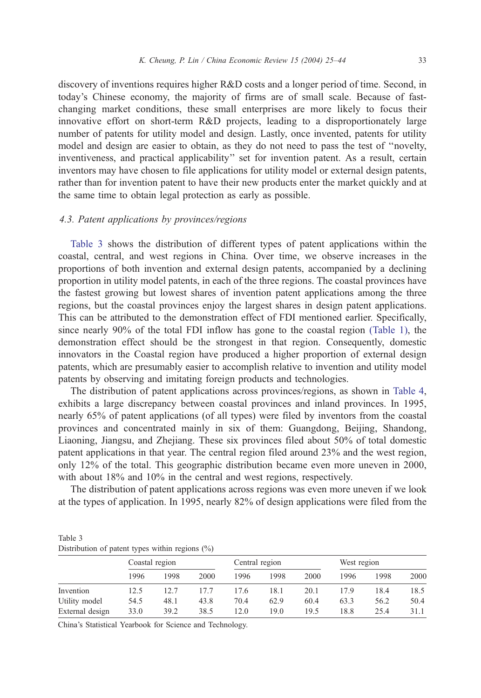<span id="page-8-0"></span>discovery of inventions requires higher R&D costs and a longer period of time. Second, in today's Chinese economy, the majority of firms are of small scale. Because of fastchanging market conditions, these small enterprises are more likely to focus their innovative effort on short-term R&D projects, leading to a disproportionately large number of patents for utility model and design. Lastly, once invented, patents for utility model and design are easier to obtain, as they do not need to pass the test of ''novelty, inventiveness, and practical applicability'' set for invention patent. As a result, certain inventors may have chosen to file applications for utility model or external design patents, rather than for invention patent to have their new products enter the market quickly and at the same time to obtain legal protection as early as possible.

## 4.3. Patent applications by provinces/regions

Table 3 shows the distribution of different types of patent applications within the coastal, central, and west regions in China. Over time, we observe increases in the proportions of both invention and external design patents, accompanied by a declining proportion in utility model patents, in each of the three regions. The coastal provinces have the fastest growing but lowest shares of invention patent applications among the three regions, but the coastal provinces enjoy the largest shares in design patent applications. This can be attributed to the demonstration effect of FDI mentioned earlier. Specifically, since nearly 90% of the total FDI inflow has gone to the coastal region [\(Table 1\),](#page-6-0) the demonstration effect should be the strongest in that region. Consequently, domestic innovators in the Coastal region have produced a higher proportion of external design patents, which are presumably easier to accomplish relative to invention and utility model patents by observing and imitating foreign products and technologies.

The distribution of patent applications across provinces/regions, as shown in [Table 4,](#page-9-0) exhibits a large discrepancy between coastal provinces and inland provinces. In 1995, nearly 65% of patent applications (of all types) were filed by inventors from the coastal provinces and concentrated mainly in six of them: Guangdong, Beijing, Shandong, Liaoning, Jiangsu, and Zhejiang. These six provinces filed about 50% of total domestic patent applications in that year. The central region filed around 23% and the west region, only 12% of the total. This geographic distribution became even more uneven in 2000, with about 18% and 10% in the central and west regions, respectively.

The distribution of patent applications across regions was even more uneven if we look at the types of application. In 1995, nearly 82% of design applications were filed from the

|                 | Coastal region |      |      | Central region |      |      | West region |      |      |  |
|-----------------|----------------|------|------|----------------|------|------|-------------|------|------|--|
|                 | 1996           | 1998 | 2000 | 1996           | 1998 | 2000 | 1996        | 1998 | 2000 |  |
| Invention       | 12.5           | 12.7 | 17.7 | 17.6           | 18.1 | 20.1 | 179         | 18.4 | 18.5 |  |
| Utility model   | 54.5           | 48.1 | 43.8 | 70.4           | 62.9 | 60.4 | 63.3        | 56.2 | 50.4 |  |
| External design | 33.0           | 39.2 | 38.5 | 12.0           | 19.0 | 19.5 | 18.8        | 25.4 | 31.1 |  |

Table 3 Distribution of patent types within regions  $(\%)$ 

China's Statistical Yearbook for Science and Technology.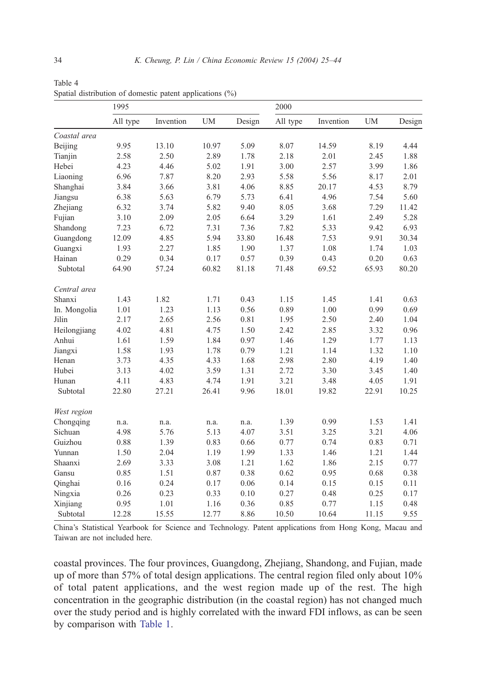|              | 1995     |           |           | 2000   |          |           |           |        |  |
|--------------|----------|-----------|-----------|--------|----------|-----------|-----------|--------|--|
|              | All type | Invention | <b>UM</b> | Design | All type | Invention | <b>UM</b> | Design |  |
| Coastal area |          |           |           |        |          |           |           |        |  |
| Beijing      | 9.95     | 13.10     | 10.97     | 5.09   | 8.07     | 14.59     | 8.19      | 4.44   |  |
| Tianjin      | 2.58     | 2.50      | 2.89      | 1.78   | 2.18     | 2.01      | 2.45      | 1.88   |  |
| Hebei        | 4.23     | 4.46      | 5.02      | 1.91   | 3.00     | 2.57      | 3.99      | 1.86   |  |
| Liaoning     | 6.96     | 7.87      | 8.20      | 2.93   | 5.58     | 5.56      | 8.17      | 2.01   |  |
| Shanghai     | 3.84     | 3.66      | 3.81      | 4.06   | 8.85     | 20.17     | 4.53      | 8.79   |  |
| Jiangsu      | 6.38     | 5.63      | 6.79      | 5.73   | 6.41     | 4.96      | 7.54      | 5.60   |  |
| Zhejiang     | 6.32     | 3.74      | 5.82      | 9.40   | 8.05     | 3.68      | 7.29      | 11.42  |  |
| Fujian       | 3.10     | 2.09      | 2.05      | 6.64   | 3.29     | 1.61      | 2.49      | 5.28   |  |
| Shandong     | 7.23     | 6.72      | 7.31      | 7.36   | 7.82     | 5.33      | 9.42      | 6.93   |  |
| Guangdong    | 12.09    | 4.85      | 5.94      | 33.80  | 16.48    | 7.53      | 9.91      | 30.34  |  |
| Guangxi      | 1.93     | 2.27      | 1.85      | 1.90   | 1.37     | 1.08      | 1.74      | 1.03   |  |
| Hainan       | 0.29     | 0.34      | 0.17      | 0.57   | 0.39     | 0.43      | 0.20      | 0.63   |  |
| Subtotal     | 64.90    | 57.24     | 60.82     | 81.18  | 71.48    | 69.52     | 65.93     | 80.20  |  |
| Central area |          |           |           |        |          |           |           |        |  |
| Shanxi       | 1.43     | 1.82      | 1.71      | 0.43   | 1.15     | 1.45      | 1.41      | 0.63   |  |
| In. Mongolia | 1.01     | 1.23      | 1.13      | 0.56   | 0.89     | 1.00      | 0.99      | 0.69   |  |
| Jilin        | 2.17     | 2.65      | 2.56      | 0.81   | 1.95     | 2.50      | 2.40      | 1.04   |  |
| Heilongjiang | 4.02     | 4.81      | 4.75      | 1.50   | 2.42     | 2.85      | 3.32      | 0.96   |  |
| Anhui        | 1.61     | 1.59      | 1.84      | 0.97   | 1.46     | 1.29      | 1.77      | 1.13   |  |
| Jiangxi      | 1.58     | 1.93      | 1.78      | 0.79   | 1.21     | 1.14      | 1.32      | 1.10   |  |
| Henan        | 3.73     | 4.35      | 4.33      | 1.68   | 2.98     | 2.80      | 4.19      | 1.40   |  |
| Hubei        | 3.13     | 4.02      | 3.59      | 1.31   | 2.72     | 3.30      | 3.45      | 1.40   |  |
| Hunan        | 4.11     | 4.83      | 4.74      | 1.91   | 3.21     | 3.48      | 4.05      | 1.91   |  |
| Subtotal     | 22.80    | 27.21     | 26.41     | 9.96   | 18.01    | 19.82     | 22.91     | 10.25  |  |
| West region  |          |           |           |        |          |           |           |        |  |
| Chongqing    | n.a.     | n.a.      | n.a.      | n.a.   | 1.39     | 0.99      | 1.53      | 1.41   |  |
| Sichuan      | 4.98     | 5.76      | 5.13      | 4.07   | 3.51     | 3.25      | 3.21      | 4.06   |  |
| Guizhou      | 0.88     | 1.39      | 0.83      | 0.66   | 0.77     | 0.74      | 0.83      | 0.71   |  |
| Yunnan       | 1.50     | 2.04      | 1.19      | 1.99   | 1.33     | 1.46      | 1.21      | 1.44   |  |
| Shaanxi      | 2.69     | 3.33      | 3.08      | 1.21   | 1.62     | 1.86      | 2.15      | 0.77   |  |
| Gansu        | 0.85     | 1.51      | 0.87      | 0.38   | 0.62     | 0.95      | 0.68      | 0.38   |  |
| Qinghai      | 0.16     | 0.24      | 0.17      | 0.06   | 0.14     | 0.15      | 0.15      | 0.11   |  |
| Ningxia      | 0.26     | 0.23      | 0.33      | 0.10   | 0.27     | 0.48      | 0.25      | 0.17   |  |
| Xinjiang     | 0.95     | 1.01      | 1.16      | 0.36   | 0.85     | 0.77      | 1.15      | 0.48   |  |
| Subtotal     | 12.28    | 15.55     | 12.77     | 8.86   | 10.50    | 10.64     | 11.15     | 9.55   |  |

<span id="page-9-0"></span>Table 4 Spatial distribution of domestic patent applications (%)

China's Statistical Yearbook for Science and Technology. Patent applications from Hong Kong, Macau and Taiwan are not included here.

coastal provinces. The four provinces, Guangdong, Zhejiang, Shandong, and Fujian, made up of more than 57% of total design applications. The central region filed only about 10% of total patent applications, and the west region made up of the rest. The high concentration in the geographic distribution (in the coastal region) has not changed much over the study period and is highly correlated with the inward FDI inflows, as can be seen by comparison with [Table 1.](#page-6-0)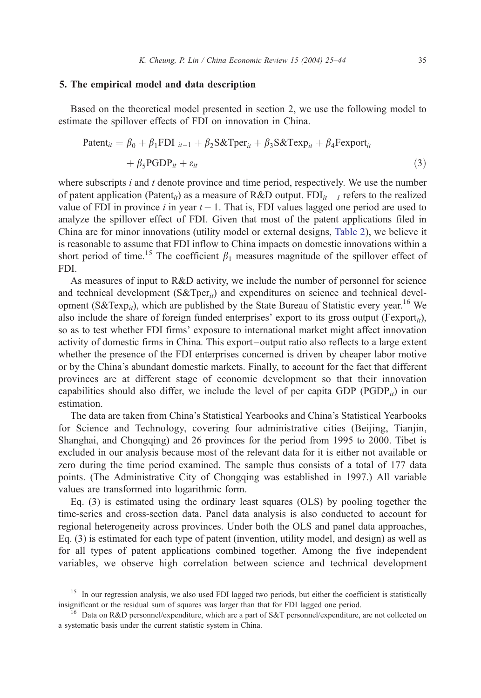#### 5. The empirical model and data description

Based on the theoretical model presented in section 2, we use the following model to estimate the spillover effects of FDI on innovation in China.

$$
\begin{aligned} \text{Pattern}_{it} &= \beta_0 + \beta_1 \text{FDI}_{it-1} + \beta_2 \text{S&Tper}_{it} + \beta_3 \text{S&Texp}_{it} + \beta_4 \text{Fexport}_{it} \\ &+ \beta_3 \text{PGDP}_{it} + \varepsilon_{it} \end{aligned} \tag{3}
$$

where subscripts  $i$  and  $t$  denote province and time period, respectively. We use the number of patent application (Patent<sub>it</sub>) as a measure of R&D output. FDI $_{it-1}$  refers to the realized value of FDI in province i in year  $t - 1$ . That is, FDI values lagged one period are used to analyze the spillover effect of FDI. Given that most of the patent applications filed in China are for minor innovations (utility model or external designs, [Table 2\)](#page-7-0), we believe it is reasonable to assume that FDI inflow to China impacts on domestic innovations within a short period of time.<sup>15</sup> The coefficient  $\beta_1$  measures magnitude of the spillover effect of FDI.

As measures of input to R&D activity, we include the number of personnel for science and technical development  $(S\&Tper_{i})$  and expenditures on science and technical development (S&Texp<sub>it</sub>), which are published by the State Bureau of Statistic every year.<sup>16</sup> We also include the share of foreign funded enterprises' export to its gross output (Fexport<sub>i</sub>), so as to test whether FDI firms' exposure to international market might affect innovation activity of domestic firms in China. This export –output ratio also reflects to a large extent whether the presence of the FDI enterprises concerned is driven by cheaper labor motive or by the China's abundant domestic markets. Finally, to account for the fact that different provinces are at different stage of economic development so that their innovation capabilities should also differ, we include the level of per capita GDP ( $PGDP_{ii}$ ) in our estimation.

The data are taken from China's Statistical Yearbooks and China's Statistical Yearbooks for Science and Technology, covering four administrative cities (Beijing, Tianjin, Shanghai, and Chongqing) and 26 provinces for the period from 1995 to 2000. Tibet is excluded in our analysis because most of the relevant data for it is either not available or zero during the time period examined. The sample thus consists of a total of 177 data points. (The Administrative City of Chongqing was established in 1997.) All variable values are transformed into logarithmic form.

Eq. (3) is estimated using the ordinary least squares (OLS) by pooling together the time-series and cross-section data. Panel data analysis is also conducted to account for regional heterogeneity across provinces. Under both the OLS and panel data approaches, Eq. (3) is estimated for each type of patent (invention, utility model, and design) as well as for all types of patent applications combined together. Among the five independent variables, we observe high correlation between science and technical development

<sup>&</sup>lt;sup>15</sup> In our regression analysis, we also used FDI lagged two periods, but either the coefficient is statistically insignificant or the residual sum of squares was larger than that for FDI lagged one period.

<sup>&</sup>lt;sup>16</sup> Data on R&D personnel/expenditure, which are a part of S&T personnel/expenditure, are not collected on a systematic basis under the current statistic system in China.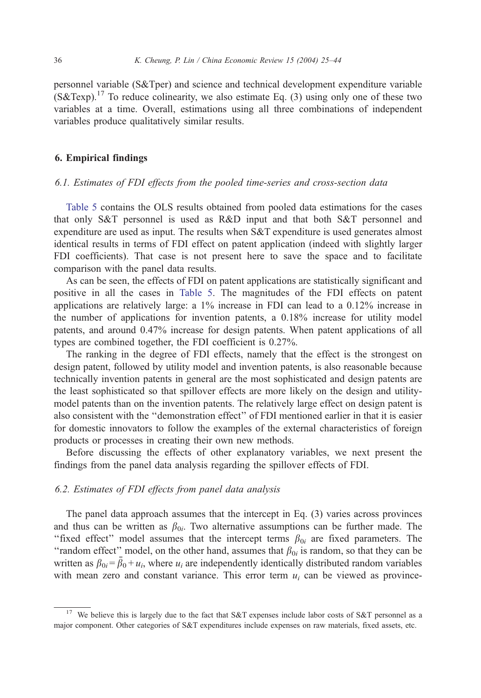personnel variable (S&Tper) and science and technical development expenditure variable  $(S&Texp).$ <sup>17</sup> To reduce colinearity, we also estimate Eq. (3) using only one of these two variables at a time. Overall, estimations using all three combinations of independent variables produce qualitatively similar results.

#### 6. Empirical findings

#### 6.1. Estimates of FDI effects from the pooled time-series and cross-section data

[Table 5](#page-12-0) contains the OLS results obtained from pooled data estimations for the cases that only S&T personnel is used as R&D input and that both S&T personnel and expenditure are used as input. The results when S&T expenditure is used generates almost identical results in terms of FDI effect on patent application (indeed with slightly larger FDI coefficients). That case is not present here to save the space and to facilitate comparison with the panel data results.

As can be seen, the effects of FDI on patent applications are statistically significant and positive in all the cases in [Table 5.](#page-12-0) The magnitudes of the FDI effects on patent applications are relatively large: a 1% increase in FDI can lead to a 0.12% increase in the number of applications for invention patents, a 0.18% increase for utility model patents, and around 0.47% increase for design patents. When patent applications of all types are combined together, the FDI coefficient is 0.27%.

The ranking in the degree of FDI effects, namely that the effect is the strongest on design patent, followed by utility model and invention patents, is also reasonable because technically invention patents in general are the most sophisticated and design patents are the least sophisticated so that spillover effects are more likely on the design and utilitymodel patents than on the invention patents. The relatively large effect on design patent is also consistent with the ''demonstration effect'' of FDI mentioned earlier in that it is easier for domestic innovators to follow the examples of the external characteristics of foreign products or processes in creating their own new methods.

Before discussing the effects of other explanatory variables, we next present the findings from the panel data analysis regarding the spillover effects of FDI.

#### 6.2. Estimates of FDI effects from panel data analysis

The panel data approach assumes that the intercept in Eq. (3) varies across provinces and thus can be written as  $\beta_{0i}$ . Two alternative assumptions can be further made. The "fixed effect" model assumes that the intercept terms  $\beta_{0i}$  are fixed parameters. The "random effect" model, on the other hand, assumes that  $\beta_{0i}$  is random, so that they can be written as  $\beta_{0i} = \bar{\beta}_0 + u_i$ , where  $u_i$  are independently identically distributed random variables with mean zero and constant variance. This error term  $u_i$  can be viewed as province-

<sup>&</sup>lt;sup>17</sup> We believe this is largely due to the fact that S&T expenses include labor costs of S&T personnel as a major component. Other categories of S&T expenditures include expenses on raw materials, fixed assets, etc.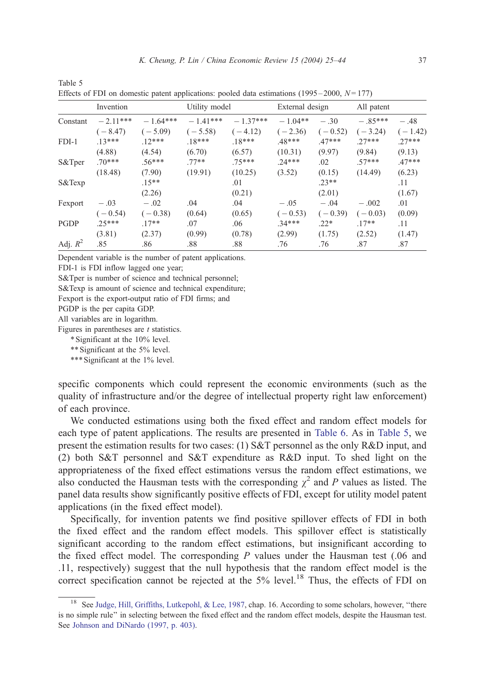|            |            | Effects of FDI on domestic patent applications. pooled data estimations $(1999 - 2000, 19 - 177)$ |               |            |                 |           |            |           |  |
|------------|------------|---------------------------------------------------------------------------------------------------|---------------|------------|-----------------|-----------|------------|-----------|--|
|            | Invention  |                                                                                                   | Utility model |            | External design |           | All patent |           |  |
| Constant   | $-2.11***$ | $-1.64***$                                                                                        | $-1.41***$    | $-1.37***$ | $-1.04**$       | $-.30$    | $-.85***$  | $-.48$    |  |
|            | $(-8.47)$  | $(-5.09)$                                                                                         | $(-5.58)$     | $(-4.12)$  | $(-2.36)$       | $(-0.52)$ | $(-3.24)$  | $(-1.42)$ |  |
| $FDI-1$    | $.13***$   | $12***$                                                                                           | $.18***$      | $.18***$   | $.48***$        | $.47***$  | $27***$    | $27***$   |  |
|            | (4.88)     | (4.54)                                                                                            | (6.70)        | (6.57)     | (10.31)         | (9.97)    | (9.84)     | (9.13)    |  |
| S&Tper     | $.70***$   | $.56***$                                                                                          | $77**$        | $.75***$   | $74***$         | .02       | $57***$    | $.47***$  |  |
|            | (18.48)    | (7.90)                                                                                            | (19.91)       | (10.25)    | (3.52)          | (0.15)    | (14.49)    | (6.23)    |  |
| S&Texp     |            | $.15***$                                                                                          |               | .01        |                 | $.23**$   |            | .11       |  |
|            |            | (2.26)                                                                                            |               | (0.21)     |                 | (2.01)    |            | (1.67)    |  |
| Fexport    | $-.03$     | $-.02$                                                                                            | .04           | .04        | $-.05$          | $-.04$    | $-.002$    | .01       |  |
|            | $(-0.54)$  | $(-0.38)$                                                                                         | (0.64)        | (0.65)     | $(-0.53)$       | $(-0.39)$ | $(-0.03)$  | (0.09)    |  |
| PGDP       | $.25***$   | $.17**$                                                                                           | .07           | .06        | $.34***$        | $.22*$    | $.17**$    | .11       |  |
|            | (3.81)     | (2.37)                                                                                            | (0.99)        | (0.78)     | (2.99)          | (1.75)    | (2.52)     | (1.47)    |  |
| Adj. $R^2$ | .85        | .86                                                                                               | .88           | .88        | .76             | .76       | .87        | .87       |  |

Effects of FDI on domestic patent applications: pooled data estimations (1995 – 2000,  $N=177$ )

Dependent variable is the number of patent applications.

FDI-1 is FDI inflow lagged one year;

S&Tper is number of science and technical personnel;

S&Texp is amount of science and technical expenditure;

Fexport is the export-output ratio of FDI firms; and

PGDP is the per capita GDP.

<span id="page-12-0"></span>Table 5

All variables are in logarithm.

Figures in parentheses are  $t$  statistics.

\* Significant at the 10% level.

\*\* Significant at the 5% level.

\*\*\* Significant at the 1% level.

specific components which could represent the economic environments (such as the quality of infrastructure and/or the degree of intellectual property right law enforcement) of each province.

We conducted estimations using both the fixed effect and random effect models for each type of patent applications. The results are presented in [Table 6.](#page-13-0) As in Table 5, we present the estimation results for two cases: (1) S&T personnel as the only R&D input, and (2) both S&T personnel and S&T expenditure as R&D input. To shed light on the appropriateness of the fixed effect estimations versus the random effect estimations, we also conducted the Hausman tests with the corresponding  $\gamma^2$  and P values as listed. The panel data results show significantly positive effects of FDI, except for utility model patent applications (in the fixed effect model).

Specifically, for invention patents we find positive spillover effects of FDI in both the fixed effect and the random effect models. This spillover effect is statistically significant according to the random effect estimations, but insignificant according to the fixed effect model. The corresponding P values under the Hausman test (.06 and .11, respectively) suggest that the null hypothesis that the random effect model is the correct specification cannot be rejected at the  $5\%$  level.<sup>18</sup> Thus, the effects of FDI on

<sup>&</sup>lt;sup>18</sup> See [Judge, Hill, Griffiths, Lutkepohl, & Lee, 1987,](#page-19-0) chap. 16. According to some scholars, however, "there is no simple rule'' in selecting between the fixed effect and the random effect models, despite the Hausman test. See [Johnson and DiNardo \(1997, p. 403\).](#page-19-0)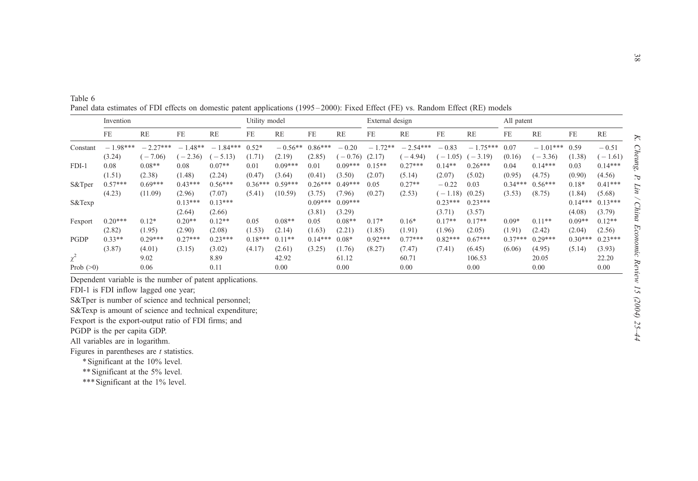<span id="page-13-0"></span>Table 6Panel data estimates of FDI effects on domestic patent applications (1995 – 2000): Fixed Effect (FE) vs. Random Effect (RE) models

|             | Invention  |            |                 |            | Utility model |           |           | External design |                 |            | All patent |            |           |            |           |           |
|-------------|------------|------------|-----------------|------------|---------------|-----------|-----------|-----------------|-----------------|------------|------------|------------|-----------|------------|-----------|-----------|
|             | <b>FE</b>  | <b>RE</b>  | <b>FE</b>       | RE         | FE            | <b>RE</b> | <b>FE</b> | <b>RE</b>       | FE              | <b>RE</b>  | FE         | <b>RE</b>  | FE        | <b>RE</b>  | <b>FE</b> | RE        |
| Constant    | $-1.98***$ | $-2.27***$ | $.48**$<br>$-1$ | $-1.84***$ | $0.52*$       | $-0.56**$ | $0.86***$ | $-0.20$         | $.72**$<br>$-1$ | $-2.54***$ | $-0.83$    | $-1.75***$ | 0.07      | $-1.01***$ | 0.59      | $-0.51$   |
|             | (3.24)     | $(-7.06)$  | $-2.36$         | $-5.13$    | (1.71)        | (2.19)    | (2.85)    | $-0.76$         | (2.17)          | $-4.94$    | $-1.05$    | $-3.19$    | (0.16)    | $(-3.36)$  | (1.38)    | $(-1.61)$ |
| $FDI-1$     | 0.08       | $0.08**$   | 0.08            | $0.07**$   | 0.01          | $0.09***$ | 0.01      | $0.09***$       | $0.15**$        | $0.27***$  | $0.14**$   | $0.26***$  | 0.04      | $0.14***$  | 0.03      | $0.14***$ |
|             | (1.51)     | (2.38)     | (1.48)          | (2.24)     | (0.47)        | (3.64)    | (0.41)    | (3.50)          | (2.07)          | (5.14)     | (2.07)     | (5.02)     | (0.95)    | (4.75)     | (0.90)    | (4.56)    |
| S&Tper      | $0.57***$  | $0.69***$  | $0.43***$       | $0.56***$  | $0.36***$     | $0.59***$ | $0.26***$ | $0.49***$       | 0.05            | $0.27**$   | $-0.22$    | 0.03       | $0.34***$ | $0.56***$  | $0.18*$   | $0.41***$ |
|             | (4.23)     | (11.09)    | (2.96)          | (7.07)     | (5.41)        | (10.59)   | (3.75)    | (7.96)          | (0.27)          | (2.53)     | $(-1.18)$  | (0.25)     | (3.53)    | (8.75)     | (1.84)    | (5.68)    |
| S&Texp      |            |            | $0.13***$       | $0.13***$  |               |           | $0.09***$ | $0.09***$       |                 |            | $0.23***$  | $0.23***$  |           |            | $0.14***$ | $0.13***$ |
|             |            |            | (2.64)          | (2.66)     |               |           | (3.81)    | (3.29)          |                 |            | (3.71)     | (3.57)     |           |            | (4.08)    | (3.79)    |
| Fexport     | $0.20***$  | $0.12*$    | $0.20**$        | $0.12**$   | 0.05          | $0.08**$  | 0.05      | $0.08**$        | $0.17*$         | $0.16*$    | $0.17**$   | $0.17**$   | $0.09*$   | $0.11**$   | $0.09**$  | $0.12**$  |
|             | (2.82)     | (1.95)     | (2.90)          | (2.08)     | (1.53)        | (2.14)    | (1.63)    | (2.21)          | (1.85)          | (1.91)     | (1.96)     | (2.05)     | (1.91)    | (2.42)     | (2.04)    | (2.56)    |
| PGDP        | $0.33**$   | $0.29***$  | $0.27***$       | $0.23***$  | $0.18***$     | $0.11**$  | $0.14***$ | $0.08*$         | $0.92***$       | $0.77***$  | $0.82***$  | $0.67***$  | $0.37***$ | $0.29***$  | $0.30***$ | $0.23***$ |
|             | (3.87)     | (4.01)     | (3.15)          | (3.02)     | (4.17)        | (2.61)    | (3.25)    | (1.76)          | (8.27)          | (7.47)     | (7.41)     | (6.45)     | (6.06)    | (4.95)     | (5.14)    | (3.93)    |
| $\chi^2$    |            | 9.02       |                 | 8.89       |               | 42.92     |           | 61.12           |                 | 60.71      |            | 106.53     |           | 20.05      |           | 22.20     |
| Prob $(>0)$ |            | 0.06       |                 | 0.11       |               | 0.00      |           | 0.00            |                 | 0.00       |            | 0.00       |           | 0.00       |           | 0.00      |

Dependent variable is the number of patent applications.

FDI-1 is FDI inflow lagged one year;

S&Tper is number of science and technical personnel;

S&Texp is amount of science and technical expenditure;

Fexport is the export-output ratio of FDI firms; and

PGDP is the per capita GDP.

All variables are in logarithm.

Figures in parentheses are  $t$  statistics.

\* Significant at the 10% level.

\*\* Significant at the 5% level.

\*\*\* Significant at the 1% level.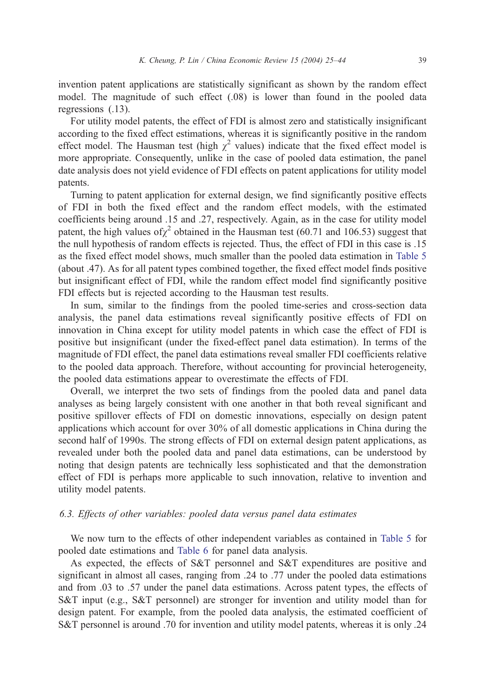invention patent applications are statistically significant as shown by the random effect model. The magnitude of such effect (.08) is lower than found in the pooled data regressions (.13).

For utility model patents, the effect of FDI is almost zero and statistically insignificant according to the fixed effect estimations, whereas it is significantly positive in the random effect model. The Hausman test (high  $\gamma^2$  values) indicate that the fixed effect model is more appropriate. Consequently, unlike in the case of pooled data estimation, the panel date analysis does not yield evidence of FDI effects on patent applications for utility model patents.

Turning to patent application for external design, we find significantly positive effects of FDI in both the fixed effect and the random effect models, with the estimated coefficients being around .15 and .27, respectively. Again, as in the case for utility model patent, the high values of  $\chi^2$  obtained in the Hausman test (60.71 and 106.53) suggest that the null hypothesis of random effects is rejected. Thus, the effect of FDI in this case is .15 as the fixed effect model shows, much smaller than the pooled data estimation in [Table 5](#page-12-0) (about .47). As for all patent types combined together, the fixed effect model finds positive but insignificant effect of FDI, while the random effect model find significantly positive FDI effects but is rejected according to the Hausman test results.

In sum, similar to the findings from the pooled time-series and cross-section data analysis, the panel data estimations reveal significantly positive effects of FDI on innovation in China except for utility model patents in which case the effect of FDI is positive but insignificant (under the fixed-effect panel data estimation). In terms of the magnitude of FDI effect, the panel data estimations reveal smaller FDI coefficients relative to the pooled data approach. Therefore, without accounting for provincial heterogeneity, the pooled data estimations appear to overestimate the effects of FDI.

Overall, we interpret the two sets of findings from the pooled data and panel data analyses as being largely consistent with one another in that both reveal significant and positive spillover effects of FDI on domestic innovations, especially on design patent applications which account for over 30% of all domestic applications in China during the second half of 1990s. The strong effects of FDI on external design patent applications, as revealed under both the pooled data and panel data estimations, can be understood by noting that design patents are technically less sophisticated and that the demonstration effect of FDI is perhaps more applicable to such innovation, relative to invention and utility model patents.

#### 6.3. Effects of other variables: pooled data versus panel data estimates

We now turn to the effects of other independent variables as contained in [Table 5](#page-12-0) for pooled date estimations and [Table 6](#page-13-0) for panel data analysis.

As expected, the effects of S&T personnel and S&T expenditures are positive and significant in almost all cases, ranging from .24 to .77 under the pooled data estimations and from .03 to .57 under the panel data estimations. Across patent types, the effects of S&T input (e.g., S&T personnel) are stronger for invention and utility model than for design patent. For example, from the pooled data analysis, the estimated coefficient of S&T personnel is around .70 for invention and utility model patents, whereas it is only .24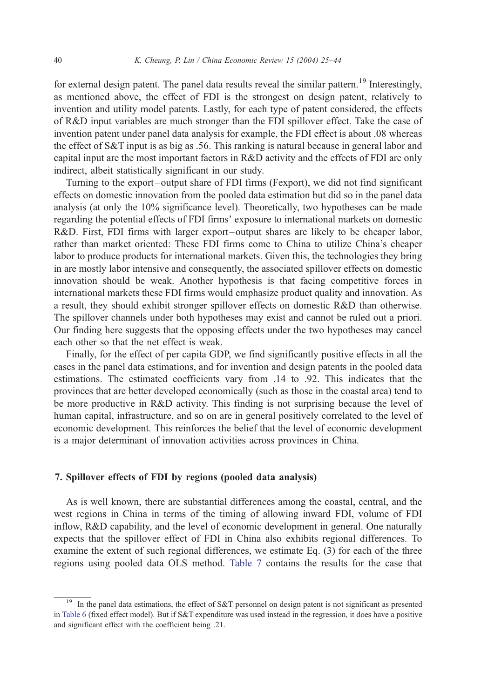for external design patent. The panel data results reveal the similar pattern.<sup>19</sup> Interestingly, as mentioned above, the effect of FDI is the strongest on design patent, relatively to invention and utility model patents. Lastly, for each type of patent considered, the effects of R&D input variables are much stronger than the FDI spillover effect. Take the case of invention patent under panel data analysis for example, the FDI effect is about .08 whereas the effect of S&T input is as big as .56. This ranking is natural because in general labor and capital input are the most important factors in R&D activity and the effects of FDI are only indirect, albeit statistically significant in our study.

Turning to the export – output share of FDI firms (Fexport), we did not find significant effects on domestic innovation from the pooled data estimation but did so in the panel data analysis (at only the 10% significance level). Theoretically, two hypotheses can be made regarding the potential effects of FDI firms' exposure to international markets on domestic R&D. First, FDI firms with larger export-output shares are likely to be cheaper labor, rather than market oriented: These FDI firms come to China to utilize China's cheaper labor to produce products for international markets. Given this, the technologies they bring in are mostly labor intensive and consequently, the associated spillover effects on domestic innovation should be weak. Another hypothesis is that facing competitive forces in international markets these FDI firms would emphasize product quality and innovation. As a result, they should exhibit stronger spillover effects on domestic R&D than otherwise. The spillover channels under both hypotheses may exist and cannot be ruled out a priori. Our finding here suggests that the opposing effects under the two hypotheses may cancel each other so that the net effect is weak.

Finally, for the effect of per capita GDP, we find significantly positive effects in all the cases in the panel data estimations, and for invention and design patents in the pooled data estimations. The estimated coefficients vary from .14 to .92. This indicates that the provinces that are better developed economically (such as those in the coastal area) tend to be more productive in R&D activity. This finding is not surprising because the level of human capital, infrastructure, and so on are in general positively correlated to the level of economic development. This reinforces the belief that the level of economic development is a major determinant of innovation activities across provinces in China.

#### 7. Spillover effects of FDI by regions (pooled data analysis)

As is well known, there are substantial differences among the coastal, central, and the west regions in China in terms of the timing of allowing inward FDI, volume of FDI inflow, R&D capability, and the level of economic development in general. One naturally expects that the spillover effect of FDI in China also exhibits regional differences. To examine the extent of such regional differences, we estimate Eq. (3) for each of the three regions using pooled data OLS method. [Table 7](#page-16-0) contains the results for the case that

<sup>&</sup>lt;sup>19</sup> In the panel data estimations, the effect of S&T personnel on design patent is not significant as presented in [Table 6](#page-13-0) (fixed effect model). But if S&T expenditure was used instead in the regression, it does have a positive and significant effect with the coefficient being .21.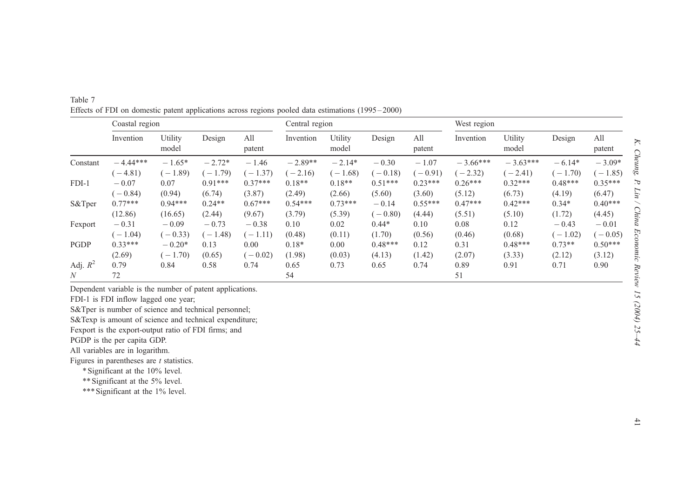|            | Coastal region | Central region   |           |               |           | West region      |           |               |            |                  |           |               |
|------------|----------------|------------------|-----------|---------------|-----------|------------------|-----------|---------------|------------|------------------|-----------|---------------|
|            | Invention      | Utility<br>model | Design    | All<br>patent | Invention | Utility<br>model | Design    | All<br>patent | Invention  | Utility<br>model | Design    | All<br>patent |
| Constant   | $-4.44***$     | $-1.65*$         | $-2.72*$  | $-1.46$       | $-2.89**$ | $-2.14*$         | $-0.30$   | $-1.07$       | $-3.66***$ | $-3.63***$       | $-6.14*$  | $-3.09*$      |
|            | $(-4.81)$      | $-1.89$          | $-1.79$   | $-1.37$       | $(-2.16)$ | $(-1.68)$        | $-0.18$   | $(-0.91)$     | $-2.32$    | $(-2.41)$        | $-1.70$   | $(-1.85)$     |
| $FDI-1$    | $-0.07$        | 0.07             | $0.91***$ | $0.37***$     | $0.18**$  | $0.18**$         | $0.51***$ | $0.23***$     | $0.26***$  | $0.32***$        | $0.48***$ | $0.35***$     |
|            | $-0.84$        | (0.94)           | (6.74)    | (3.87)        | (2.49)    | (2.66)           | (5.60)    | (3.60)        | (5.12)     | (6.73)           | (4.19)    | (6.47)        |
| S&Tper     | $0.77***$      | $0.94***$        | $0.24**$  | $0.67***$     | $0.54***$ | $0.73***$        | $-0.14$   | $0.55***$     | $0.47***$  | $0.42***$        | $0.34*$   | $0.40***$     |
|            | (12.86)        | (16.65)          | (2.44)    | (9.67)        | (3.79)    | (5.39)           | $-0.80$   | (4.44)        | (5.51)     | (5.10)           | (1.72)    | (4.45)        |
| Fexport    | $-0.31$        | $-0.09$          | $-0.73$   | $-0.38$       | 0.10      | 0.02             | $0.44*$   | 0.10          | 0.08       | 0.12             | $-0.43$   | $-0.01$       |
|            | $-1.04$        | $-0.33$          | $-1.48$   | $-1.11)$      | (0.48)    | (0.11)           | (1.70)    | (0.56)        | (0.46)     | (0.68)           | $(-1.02)$ | $(-0.05)$     |
| PGDP       | $0.33***$      | $-0.20*$         | 0.13      | 0.00          | $0.18*$   | 0.00             | $0.48***$ | 0.12          | 0.31       | $0.48***$        | $0.73**$  | $0.50***$     |
| Adj. $R^2$ | (2.69)         | $-1.70$          | (0.65)    | $-0.02$       | (1.98)    | (0.03)           | (4.13)    | (1.42)        | (2.07)     | (3.33)           | (2.12)    | (3.12)        |
|            | 0.79           | 0.84             | 0.58      | 0.74          | 0.65      | 0.73             | 0.65      | 0.74          | 0.89       | 0.91             | 0.71      | 0.90          |
| N          | 72             |                  |           |               | 54        |                  |           |               | 51         |                  |           |               |

<span id="page-16-0"></span>Table 7Effects of FDI on domestic patent applications across regions pooled data estimations (1995–2000)

Dependent variable is the number of patent applications.

FDI-1 is FDI inflow lagged one year;

S&Tper is number of science and technical personnel;

S&Texp is amount of science and technical expenditure;

Fexport is the export-output ratio of FDI firms; and

PGDP is the per capita GDP.

All variables are in logarithm.

Figures in parentheses are  $t$  statistics.

\* Significant at the 10% level.

\*\* Significant at the 5% level.

\*\*\* Significant at the 1% level.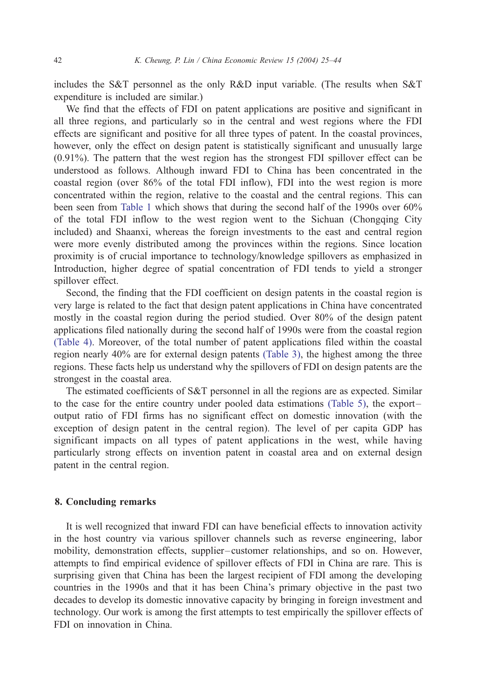includes the S&T personnel as the only R&D input variable. (The results when S&T expenditure is included are similar.)

We find that the effects of FDI on patent applications are positive and significant in all three regions, and particularly so in the central and west regions where the FDI effects are significant and positive for all three types of patent. In the coastal provinces, however, only the effect on design patent is statistically significant and unusually large (0.91%). The pattern that the west region has the strongest FDI spillover effect can be understood as follows. Although inward FDI to China has been concentrated in the coastal region (over 86% of the total FDI inflow), FDI into the west region is more concentrated within the region, relative to the coastal and the central regions. This can been seen from [Table 1](#page-6-0) which shows that during the second half of the 1990s over 60% of the total FDI inflow to the west region went to the Sichuan (Chongqing City included) and Shaanxi, whereas the foreign investments to the east and central region were more evenly distributed among the provinces within the regions. Since location proximity is of crucial importance to technology/knowledge spillovers as emphasized in Introduction, higher degree of spatial concentration of FDI tends to yield a stronger spillover effect.

Second, the finding that the FDI coefficient on design patents in the coastal region is very large is related to the fact that design patent applications in China have concentrated mostly in the coastal region during the period studied. Over 80% of the design patent applications filed nationally during the second half of 1990s were from the coastal region [\(Table 4\).](#page-9-0) Moreover, of the total number of patent applications filed within the coastal region nearly 40% are for external design patents [\(Table 3\),](#page-8-0) the highest among the three regions. These facts help us understand why the spillovers of FDI on design patents are the strongest in the coastal area.

The estimated coefficients of S&T personnel in all the regions are as expected. Similar to the case for the entire country under pooled data estimations [\(Table 5\),](#page-12-0) the export – output ratio of FDI firms has no significant effect on domestic innovation (with the exception of design patent in the central region). The level of per capita GDP has significant impacts on all types of patent applications in the west, while having particularly strong effects on invention patent in coastal area and on external design patent in the central region.

# 8. Concluding remarks

It is well recognized that inward FDI can have beneficial effects to innovation activity in the host country via various spillover channels such as reverse engineering, labor mobility, demonstration effects, supplier –customer relationships, and so on. However, attempts to find empirical evidence of spillover effects of FDI in China are rare. This is surprising given that China has been the largest recipient of FDI among the developing countries in the 1990s and that it has been China's primary objective in the past two decades to develop its domestic innovative capacity by bringing in foreign investment and technology. Our work is among the first attempts to test empirically the spillover effects of FDI on innovation in China.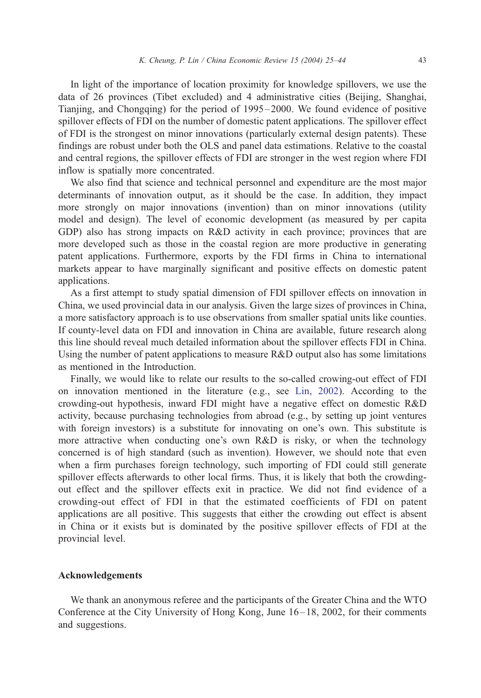In light of the importance of location proximity for knowledge spillovers, we use the data of 26 provinces (Tibet excluded) and 4 administrative cities (Beijing, Shanghai, Tianjing, and Chongqing) for the period of 1995 –2000. We found evidence of positive spillover effects of FDI on the number of domestic patent applications. The spillover effect of FDI is the strongest on minor innovations (particularly external design patents). These findings are robust under both the OLS and panel data estimations. Relative to the coastal and central regions, the spillover effects of FDI are stronger in the west region where FDI inflow is spatially more concentrated.

We also find that science and technical personnel and expenditure are the most major determinants of innovation output, as it should be the case. In addition, they impact more strongly on major innovations (invention) than on minor innovations (utility model and design). The level of economic development (as measured by per capita GDP) also has strong impacts on R&D activity in each province; provinces that are more developed such as those in the coastal region are more productive in generating patent applications. Furthermore, exports by the FDI firms in China to international markets appear to have marginally significant and positive effects on domestic patent applications.

As a first attempt to study spatial dimension of FDI spillover effects on innovation in China, we used provincial data in our analysis. Given the large sizes of provinces in China, a more satisfactory approach is to use observations from smaller spatial units like counties. If county-level data on FDI and innovation in China are available, future research along this line should reveal much detailed information about the spillover effects FDI in China. Using the number of patent applications to measure R&D output also has some limitations as mentioned in the Introduction.

Finally, we would like to relate our results to the so-called crowing-out effect of FDI on innovation mentioned in the literature (e.g., see [Lin, 2002\)](#page-19-0). According to the crowding-out hypothesis, inward FDI might have a negative effect on domestic R&D activity, because purchasing technologies from abroad (e.g., by setting up joint ventures with foreign investors) is a substitute for innovating on one's own. This substitute is more attractive when conducting one's own R&D is risky, or when the technology concerned is of high standard (such as invention). However, we should note that even when a firm purchases foreign technology, such importing of FDI could still generate spillover effects afterwards to other local firms. Thus, it is likely that both the crowdingout effect and the spillover effects exit in practice. We did not find evidence of a crowding-out effect of FDI in that the estimated coefficients of FDI on patent applications are all positive. This suggests that either the crowding out effect is absent in China or it exists but is dominated by the positive spillover effects of FDI at the provincial level.

#### Acknowledgements

We thank an anonymous referee and the participants of the Greater China and the WTO Conference at the City University of Hong Kong, June  $16-18$ , 2002, for their comments and suggestions.